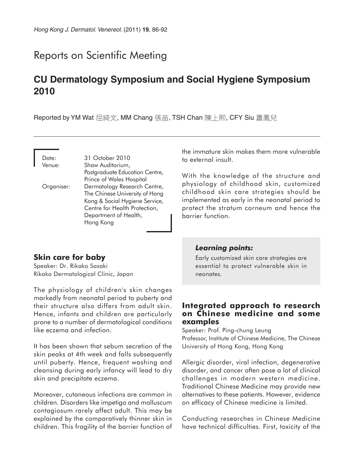# Reports on Scientific Meeting

# **CU Dermatology Symposium and Social Hygiene Symposium 2010**

Reported by YM Wat 屈綺文, MM Chang 張苗, TSH Chan 陳上熙, CFY Siu 蕭鳳兒

Date: 31 October 2010 Venue: Shaw Auditorium, Postgraduate Education Centre, Prince of Wales Hospital Organiser: Dermatology Research Centre, The Chinese University of Hong Kong & Social Hygiene Service, Centre for Health Protection, Department of Health, Hong Kong

# **Skin care for baby**

Speaker: Dr. Rikako Sasaki Rikako Dermatological Clinic, Japan

The physiology of children's skin changes markedly from neonatal period to puberty and their structure also differs from adult skin. Hence, infants and children are particularly prone to a number of dermatological conditions like eczema and infection.

It has been shown that sebum secretion of the skin peaks at 4th week and falls subsequently until puberty. Hence, frequent washing and cleansing during early infancy will lead to dry skin and precipitate eczema.

Moreover, cutaneous infections are common in children. Disorders like impetigo and molluscum contagiosum rarely affect adult. This may be explained by the comparatively thinner skin in children. This fragility of the barrier function of the immature skin makes them more vulnerable to external insult.

With the knowledge of the structure and physiology of childhood skin, customized childhood skin care strategies should be implemented as early in the neonatal period to protect the stratum corneum and hence the barrier function.

#### *Learning points:*

Early customized skin care strategies are essential to protect vulnerable skin in neonates.

### **Integrated approach to research on Chinese medicine and some examples**

Speaker: Prof. Ping-chung Leung Professor, Institute of Chinese Medicine, The Chinese University of Hong Kong, Hong Kong

Allergic disorder, viral infection, degenerative disorder, and cancer often pose a lot of clinical challenges in modern western medicine. Traditional Chinese Medicine may provide new alternatives to these patients. However, evidence on efficacy of Chinese medicine is limited.

Conducting researches in Chinese Medicine have technical difficulties. First, toxicity of the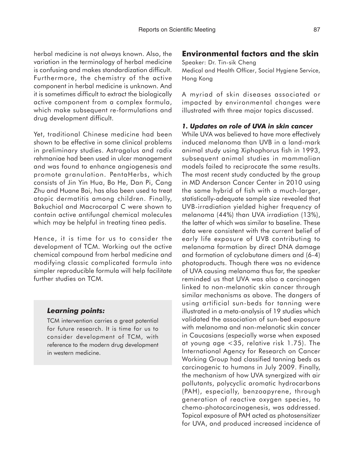herbal medicine is not always known. Also, the variation in the terminology of herbal medicine is confusing and makes standardization difficult. Furthermore, the chemistry of the active component in herbal medicine is unknown. And it is sometimes difficult to extract the biologically active component from a complex formula, which make subsequent re-formulations and drug development difficult.

Yet, traditional Chinese medicine had been shown to be effective in some clinical problems in preliminary studies. Astragalus and radix rehmaniae had been used in ulcer management and was found to enhance angiogenesis and promote granulation. PentaHerbs, which consists of Jin Yin Hua, Bo He, Dan Pi, Cang Zhu and Huane Bai, has also been used to treat atopic dermatitis among children. Finally, Bakuchiol and Macrocarpal C were shown to contain active antifungal chemical molecules which may be helpful in treating tinea pedis.

Hence, it is time for us to consider the development of TCM. Working out the active chemical compound from herbal medicine and modifying classic complicated formula into simpler reproducible formula will help facilitate further studies on TCM.

### *Learning points:*

TCM intervention carries a great potential for future research. It is time for us to consider development of TCM, with reference to the modern drug development in western medicine.

## **Environmental factors and the skin**

Speaker: Dr. Tin-sik Cheng Medical and Health Officer, Social Hygiene Service, Hong Kong

A myriad of skin diseases associated or impacted by environmental changes were illustrated with three major topics discussed.

#### *1. Updates on role of UVA in skin cancer*

While UVA was believed to have more effectively induced melanoma than UVB in a land-mark animal study using Xiphophorus fish in 1993, subsequent animal studies in mammalian models failed to reciprocate the same results. The most recent study conducted by the group in MD Anderson Cancer Center in 2010 using the same hybrid of fish with a much-larger, statistically-adequate sample size revealed that UVB-irradiation yielded higher frequency of melanoma (44%) than UVA irradiation (13%), the latter of which was similar to baseline. These data were consistent with the current belief of early life exposure of UVB contributing to melanoma formation by direct DNA damage and formation of cyclobutane dimers and (6-4) photoproducts. Though there was no evidence of UVA causing melanoma thus far, the speaker reminded us that UVA was also a carcinogen linked to non-melanotic skin cancer through similar mechanisms as above. The dangers of using artificial sun-beds for tanning were illustrated in a meta-analysis of 19 studies which validated the association of sun-bed exposure with melanoma and non-melanotic skin cancer in Caucasians (especially worse when exposed at young age <35, relative risk 1.75). The International Agency for Research on Cancer Working Group had classified tanning beds as carcinogenic to humans in July 2009. Finally, the mechanism of how UVA synergized with air pollutants, polycyclic aromatic hydrocarbons (PAH), especially, benzoapyrene, through generation of reactive oxygen species, to chemo-photocarcinogenesis, was addressed. Topical exposure of PAH acted as photosensitizer for UVA, and produced increased incidence of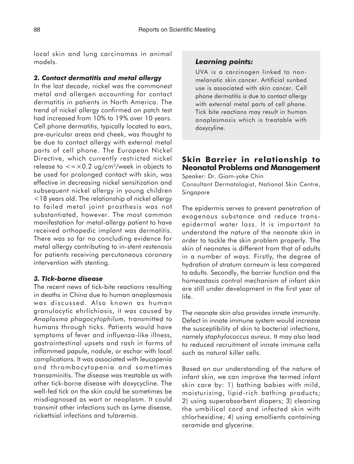local skin and lung carcinomas in animal models.

## *2. Contact dermatitis and metal allergy*

In the last decade, nickel was the commonest metal and allergen accounting for contact dermatitis in patients in North America. The trend of nickel allergy confirmed on patch test had increased from 10% to 19% over 10 years. Cell phone dermatitis, typically located to ears, pre-auricular areas and cheek, was thought to be due to contact allergy with external metal parts of cell phone. The European Nickel Directive, which currently restricted nickel release to  $\lt = \times 0.2$  ug/cm<sup>2</sup>/week in objects to be used for prolonged contact with skin, was effective in decreasing nickel sensitization and subsequent nickel allergy in young children <18 years old. The relationship of nickel allergy to failed metal joint prosthesis was not substantiated, however. The most common manifestation for metal-allergy patient to have received orthopedic implant was dermatitis. There was so far no concluding evidence for metal allergy contributing to in-stent restenosis for patients receiving percutaneous coronary intervention with stenting.

### *3. Tick-borne disease*

The recent news of tick-bite reactions resulting in deaths in China due to human anaplasmosis was discussed. Also known as human granulocytic ehrlichiosis, it was caused by *Anaplasma phagocytophilum,* transmitted to humans through ticks. Patients would have symptoms of fever and influenza-like illness, gastrointestinal upsets and rash in forms of inflammed papule, nodule, or eschar with local complications. It was associated with leucopenia and thrombocytopenia and sometimes transaminitis. The disease was treatable as with other tick-borne disease with doxycycline. The well-fed tick on the skin could be sometimes be misdiagnosed as wart or neoplasm. It could transmit other infections such as Lyme disease, rickettsial infections and tularemia.

# *Learning points:*

UVA is a carcinogen linked to nonmelanotic skin cancer. Artificial sunbed use is associated with skin cancer. Cell phone dermatitis is due to contact allergy with external metal parts of cell phone. Tick bite reactions may result in human anaplasmosis which is treatable with doxycyline.

# **Skin Barrier in relationship to Neonatal Problems and Management**

Speaker: Dr. Giam-yoke Chin Consultant Dermatologist, National Skin Centre, Singapore

The epidermis serves to prevent penetration of exogenous substance and reduce transepidermal water loss. It is important to understand the nature of the neonate skin in order to tackle the skin problem properly. The skin of neonates is different from that of adults in a number of ways. Firstly, the degree of hydration of stratum corneum is less compared to adults. Secondly, the barrier function and the homeostasis control mechanism of infant skin are still under development in the first year of life.

The neonate skin also provides innate immunity. Defect in innate immune system would increase the susceptibility of skin to bacterial infections, namely *staphylococcus aureus*. It may also lead to reduced recruitment of innate immune cells such as natural killer cells.

Based on our understanding of the nature of infant skin, we can improve the termed infant skin care by: 1) bathing babies with mild, moisturizing, lipid-rich bathing products; 2) using superabsorbent diapers; 3) cleaning the umbilical cord and infected skin with chlorhexidine; 4) using emollients containing ceramide and glycerine.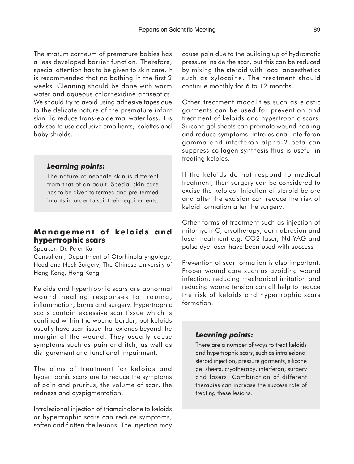The stratum corneum of premature babies has a less developed barrier function. Therefore, special attention has to be given to skin care. It is recommended that no bathing in the first 2 weeks. Cleaning should be done with warm water and aqueous chlorhexidine antiseptics. We should try to avoid using adhesive tapes due to the delicate nature of the premature infant skin. To reduce trans-epidermal water loss, it is advised to use occlusive emollients, isolettes and baby shields.

### *Learning points:*

The nature of neonate skin is different from that of an adult. Special skin care has to be given to termed and pre-termed infants in order to suit their requirements.

# **Management of keloids and hypertrophic scars**

Speaker: Dr. Peter Ku

Consultant, Department of Otorhinolaryngology, Head and Neck Surgery, The Chinese University of Hong Kong, Hong Kong

Keloids and hypertrophic scars are abnormal wound healing responses to trauma, inflammation, burns and surgery. Hypertrophic scars contain excessive scar tissue which is confined within the wound border, but keloids usually have scar tissue that extends beyond the margin of the wound. They usually cause symptoms such as pain and itch, as well as disfigurement and functional impairment.

The aims of treatment for keloids and hypertrophic scars are to reduce the symptoms of pain and pruritus, the volume of scar, the redness and dyspigmentation.

Intralesional injection of triamcinolone to keloids or hypertrophic scars can reduce symptoms, soften and flatten the lesions. The injection may

cause pain due to the building up of hydrostatic pressure inside the scar, but this can be reduced by mixing the steroid with local anaesthetics such as xylocaine. The treatment should continue monthly for 6 to 12 months.

Other treatment modalities such as elastic garments can be used for prevention and treatment of keloids and hypertrophic scars. Silicone gel sheets can promote wound healing and reduce symptoms. Intralesional interferon gamma and interferon alpha-2 beta can suppress collagen synthesis thus is useful in treating keloids.

If the keloids do not respond to medical treatment, then surgery can be considered to excise the keloids. Injection of steroid before and after the excision can reduce the risk of keloid formation after the surgery.

Other forms of treatment such as injection of mitomycin C, cryotherapy, dermabrasion and laser treatment e.g. CO2 laser, Nd-YAG and pulse dye laser have been used with success

Prevention of scar formation is also important. Proper wound care such as avoiding wound infection, reducing mechanical irritation and reducing wound tension can all help to reduce the risk of keloids and hypertrophic scars formation.

### *Learning points:*

There are a number of ways to treat keloids and hypertrophic scars, such as intralesional steroid injection, pressure garments, silicone gel sheets, cryotherapy, interferon, surgery and lasers. Combination of different therapies can increase the success rate of treating these lesions.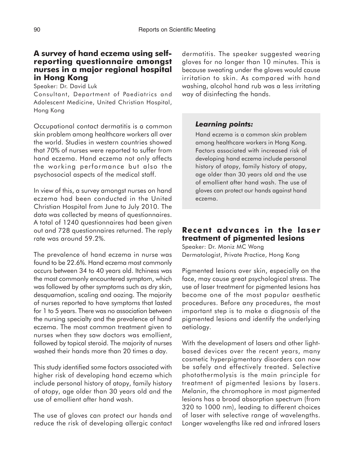## **A survey of hand eczema using selfreporting questionnaire amongst nurses in a major regional hospital in Hong Kong**

Speaker: Dr. David Luk

Consultant, Department of Paediatrics and Adolescent Medicine, United Christian Hospital, Hong Kong

Occupational contact dermatitis is a common skin problem among healthcare workers all over the world. Studies in western countries showed that 70% of nurses were reported to suffer from hand eczema. Hand eczema not only affects the working performance but also the psychosocial aspects of the medical staff.

In view of this, a survey amongst nurses on hand eczema had been conducted in the United Christian Hospital from June to July 2010. The data was collected by means of questionnaires. A total of 1240 questionnaires had been given out and 728 questionnaires returned. The reply rate was around 59.2%.

The prevalence of hand eczema in nurse was found to be 22.6%. Hand eczema most commonly occurs between 34 to 40 years old. Itchiness was the most commonly encountered symptom, which was followed by other symptoms such as dry skin, desquamation, scaling and oozing. The majority of nurses reported to have symptoms that lasted for 1 to 5 years. There was no association between the nursing specialty and the prevalence of hand eczema. The most common treatment given to nurses when they saw doctors was emollient, followed by topical steroid. The majority of nurses washed their hands more than 20 times a day.

This study identified some factors associated with higher risk of developing hand eczema which include personal history of atopy, family history of atopy, age older than 30 years old and the use of emollient after hand wash.

The use of gloves can protect our hands and reduce the risk of developing allergic contact dermatitis. The speaker suggested wearing gloves for no longer than 10 minutes. This is because sweating under the gloves would cause irritation to skin. As compared with hand washing, alcohol hand rub was a less irritating way of disinfecting the hands.

### *Learning points:*

Hand eczema is a common skin problem among healthcare workers in Hong Kong. Factors associated with increased risk of developing hand eczema include personal history of atopy, family history of atopy, age older than 30 years old and the use of emollient after hand wash. The use of gloves can protect our hands against hand eczema.

# **Recent advances in the laser treatment of pigmented lesions**

Speaker: Dr. Moniz MC Wong Dermatologist, Private Practice, Hong Kong

Pigmented lesions over skin, especially on the face, may cause great psychological stress. The use of laser treatment for pigmented lesions has become one of the most popular aesthetic procedures. Before any procedures, the most important step is to make a diagnosis of the pigmented lesions and identify the underlying aetiology.

With the development of lasers and other lightbased devices over the recent years, many cosmetic hyperpigmentary disorders can now be safely and effectively treated. Selective photothermolysis is the main principle for treatment of pigmented lesions by lasers. Melanin, the chromophore in most pigmented lesions has a broad absorption spectrum (from 320 to 1000 nm), leading to different choices of laser with selective range of wavelengths. Longer wavelengths like red and infrared lasers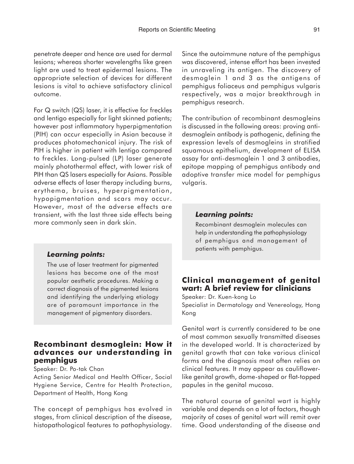penetrate deeper and hence are used for dermal lesions; whereas shorter wavelengths like green light are used to treat epidermal lesions. The appropriate selection of devices for different lesions is vital to achieve satisfactory clinical outcome.

For Q switch (QS) laser, it is effective for freckles and lentigo especially for light skinned patients; however post inflammatory hyperpigmentation (PIH) can occur especially in Asian because it produces photomechanical injury. The risk of PIH is higher in patient with lentigo compared to freckles. Long-pulsed (LP) laser generate mainly photothermal effect, with lower risk of PIH than QS lasers especially for Asians. Possible adverse effects of laser therapy including burns, erythema, bruises, hyperpigmentation, hypopigmentation and scars may occur. However, most of the adverse effects are transient, with the last three side effects being more commonly seen in dark skin.

### *Learning points:*

The use of laser treatment for pigmented lesions has become one of the most popular aesthetic procedures. Making a correct diagnosis of the pigmented lesions and identifying the underlying etiology are of paramount importance in the management of pigmentary disorders.

## **Recombinant desmoglein: How it advances our understanding in pemphigus**

Speaker: Dr. Po-tak Chan

Acting Senior Medical and Health Officer, Social Hygiene Service, Centre for Health Protection, Department of Health, Hong Kong

The concept of pemphigus has evolved in stages, from clinical description of the disease, histopathological features to pathophysiology. Since the autoimmune nature of the pemphigus was discovered, intense effort has been invested in unraveling its antigen. The discovery of desmoglein 1 and 3 as the antigens of pemphigus foliaceus and pemphigus vulgaris respectively, was a major breakthrough in pemphigus research.

The contribution of recombinant desmogleins is discussed in the following areas: proving antidesmoglein antibody is pathogenic, defining the expression levels of desmogleins in stratified squamous epithelium, development of ELISA assay for anti-desmoglein 1 and 3 antibodies, epitope mapping of pemphigus antibody and adoptive transfer mice model for pemphigus vulgaris.

#### *Learning points:*

Recombinant desmoglein molecules can help in understanding the pathophysiology of pemphigus and management of patients with pemphigus.

# **Clinical management of genital wart: A brief review for clinicians**

Speaker: Dr. Kuen-kong Lo Specialist in Dermatology and Venereology, Hong Kong

Genital wart is currently considered to be one of most common sexually transmitted diseases in the developed world. It is characterized by genital growth that can take various clinical forms and the diagnosis most often relies on clinical features. It may appear as cauliflowerlike genital growth, dome-shaped or flat-topped papules in the genital mucosa.

The natural course of genital wart is highly variable and depends on a lot of factors, though majority of cases of genital wart will remit over time. Good understanding of the disease and